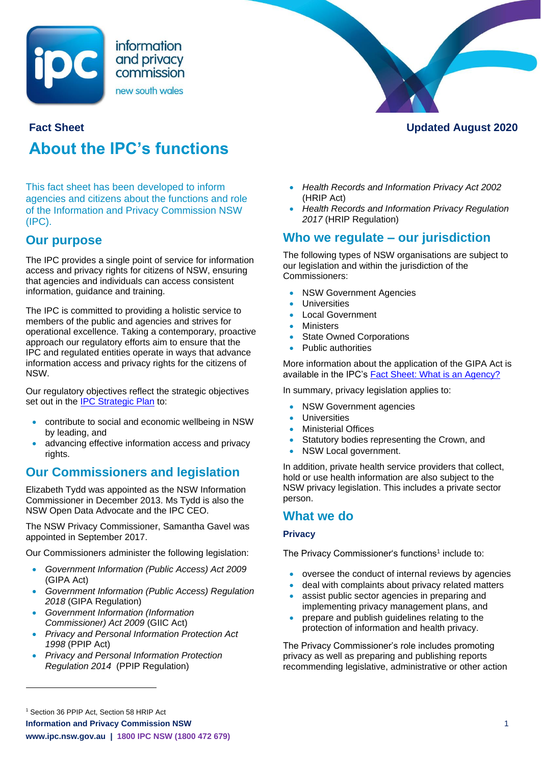

# **About the IPC's functions**

This fact sheet has been developed to inform agencies and citizens about the functions and role of the Information and Privacy Commission NSW (IPC).

### **Our purpose**

The IPC provides a single point of service for information access and privacy rights for citizens of NSW, ensuring that agencies and individuals can access consistent information, guidance and training.

The IPC is committed to providing a holistic service to members of the public and agencies and strives for operational excellence. Taking a contemporary, proactive approach our regulatory efforts aim to ensure that the IPC and regulated entities operate in ways that advance information access and privacy rights for the citizens of NSW.

Our regulatory objectives reflect the strategic objectives set out in the [IPC Strategic Plan](https://www.ipc.nsw.gov.au/media/2620) to:

- contribute to social and economic wellbeing in NSW by leading, and
- advancing effective information access and privacy rights.

### **Our Commissioners and legislation**

Elizabeth Tydd was appointed as the NSW Information Commissioner in December 2013. Ms Tydd is also the NSW Open Data Advocate and the IPC CEO.

The NSW Privacy Commissioner, Samantha Gavel was appointed in September 2017.

Our Commissioners administer the following legislation:

- *Government Information (Public Access) Act 2009* (GIPA Act)
- *Government Information (Public Access) Regulation 2018* (GIPA Regulation)
- *Government Information (Information Commissioner) Act 2009* (GIIC Act)
- *Privacy and Personal Information Protection Act 1998* (PPIP Act)
- *Privacy and Personal Information Protection Regulation 2014* (PPIP Regulation)



**Fact Sheet Updated August 2020**

- *Health Records and Information Privacy Act 2002*  (HRIP Act)
- *Health Records and Information Privacy Regulation 2017* (HRIP Regulation)

## **Who we regulate – our jurisdiction**

The following types of NSW organisations are subject to our legislation and within the jurisdiction of the Commissioners:

- **NSW Government Agencies**
- **Universities**
- Local Government
- **Ministers**
- **State Owned Corporations**
- Public authorities

More information about the application of the GIPA Act is available in the IPC's [Fact Sheet: What is an Agency?](https://www.ipc.nsw.gov.au/node/260)

In summary, privacy legislation applies to:

- **NSW Government agencies**
- **Universities**
- Ministerial Offices
- Statutory bodies representing the Crown, and
- NSW Local government.

In addition, private health service providers that collect, hold or use health information are also subject to the NSW privacy legislation. This includes a private sector person.

### **What we do**

### **Privacy**

The Privacy Commissioner's functions<sup>1</sup> include to:

- oversee the conduct of internal reviews by agencies
- deal with complaints about privacy related matters
- assist public sector agencies in preparing and implementing privacy management plans, and
- prepare and publish guidelines relating to the protection of information and health privacy.

The Privacy Commissioner's role includes promoting privacy as well as preparing and publishing reports recommending legislative, administrative or other action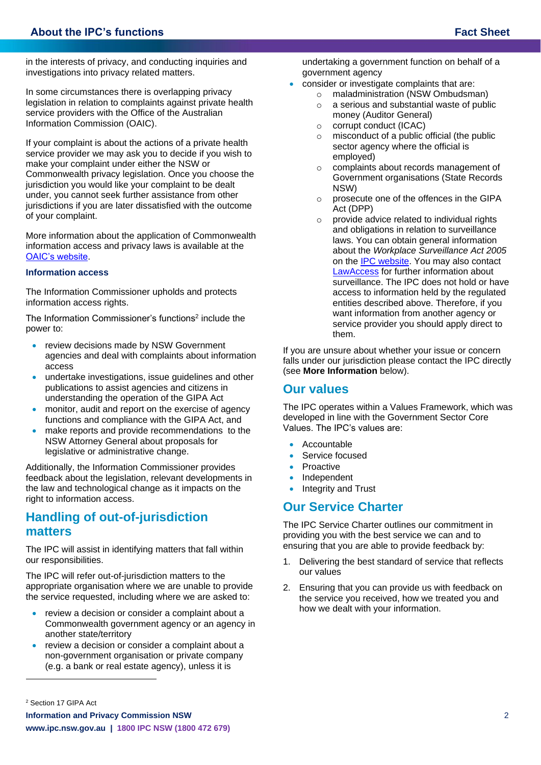in the interests of privacy, and conducting inquiries and investigations into privacy related matters.

In some circumstances there is overlapping privacy legislation in relation to complaints against private health service providers with the Office of the Australian Information Commission (OAIC).

If your complaint is about the actions of a private health service provider we may ask you to decide if you wish to make your complaint under either the NSW or Commonwealth privacy legislation. Once you choose the jurisdiction you would like your complaint to be dealt under, you cannot seek further assistance from other jurisdictions if you are later dissatisfied with the outcome of your complaint.

More information about the application of Commonwealth information access and privacy laws is available at the [OAIC's website.](https://www.oaic.gov.au/)

#### **Information access**

The Information Commissioner upholds and protects information access rights.

The Information Commissioner's functions<sup>2</sup> include the power to:

- review decisions made by NSW Government agencies and deal with complaints about information access
- undertake investigations, issue guidelines and other publications to assist agencies and citizens in understanding the operation of the GIPA Act
- monitor, audit and report on the exercise of agency functions and compliance with the GIPA Act, and
- make reports and provide recommendations to the NSW Attorney General about proposals for legislative or administrative change.

Additionally, the Information Commissioner provides feedback about the legislation, relevant developments in the law and technological change as it impacts on the right to information access.

### **Handling of out-of-jurisdiction matters**

The IPC will assist in identifying matters that fall within our responsibilities.

The IPC will refer out-of-jurisdiction matters to the appropriate organisation where we are unable to provide the service requested, including where we are asked to:

- review a decision or consider a complaint about a Commonwealth government agency or an agency in another state/territory
- review a decision or consider a complaint about a non-government organisation or private company (e.g. a bank or real estate agency), unless it is

undertaking a government function on behalf of a government agency

- consider or investigate complaints that are:
	- o maladministration (NSW Ombudsman)
	- o a serious and substantial waste of public money (Auditor General)
	- o corrupt conduct (ICAC)
	- $\circ$  misconduct of a public official (the public sector agency where the official is employed)
	- o complaints about records management of Government organisations (State Records NSW)
	- o prosecute one of the offences in the GIPA Act (DPP)
	- $\circ$  provide advice related to individual rights and obligations in relation to surveillance laws. You can obtain general information about the *Workplace Surveillance Act 2005* on the [IPC website.](https://www.ipc.nsw.gov.au/workplace-surveillance) You may also contact [LawAccess](https://www.lawaccess.nsw.gov.au/) for further information about surveillance. The IPC does not hold or have access to information held by the regulated entities described above. Therefore, if you want information from another agency or service provider you should apply direct to them.

If you are unsure about whether your issue or concern falls under our jurisdiction please contact the IPC directly (see **More Information** below).

### **Our values**

The IPC operates within a Values Framework, which was developed in line with the Government Sector Core Values. The IPC's values are:

- Accountable
- Service focused
- **Proactive**
- **Independent**
- Integrity and Trust

### **Our Service Charter**

The IPC Service Charter outlines our commitment in providing you with the best service we can and to ensuring that you are able to provide feedback by:

- 1. Delivering the best standard of service that reflects our values
- 2. Ensuring that you can provide us with feedback on the service you received, how we treated you and how we dealt with your information.

<sup>2</sup> Section 17 GIPA Act